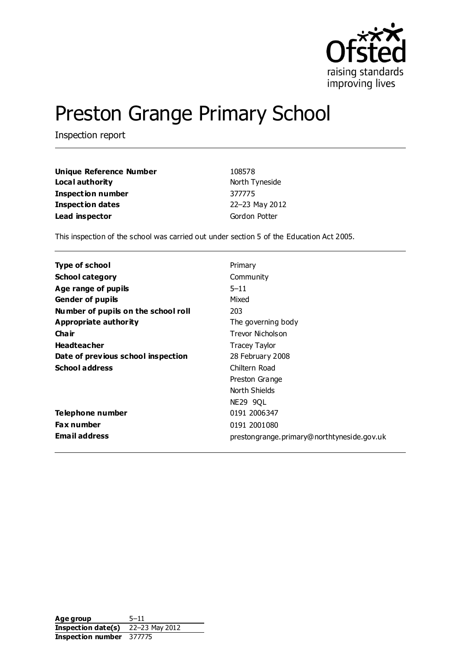

# Preston Grange Primary School

Inspection report

| <b>Unique Reference Number</b> | 108578         |  |
|--------------------------------|----------------|--|
| Local authority                | North Tyneside |  |
| <b>Inspection number</b>       | 377775         |  |
| <b>Inspection dates</b>        | 22-23 May 2012 |  |
| Lead inspector                 | Gordon Potter  |  |

This inspection of the school was carried out under section 5 of the Education Act 2005.

| Type of school                      | Primary                                    |
|-------------------------------------|--------------------------------------------|
| <b>School category</b>              | Community                                  |
| Age range of pupils                 | $5 - 11$                                   |
| <b>Gender of pupils</b>             | Mixed                                      |
| Number of pupils on the school roll | 203                                        |
| Appropriate authority               | The governing body                         |
| Cha ir                              | Trevor Nicholson                           |
| <b>Headteacher</b>                  | Tracey Taylor                              |
| Date of previous school inspection  | 28 February 2008                           |
| <b>School address</b>               | Chiltern Road                              |
|                                     | Preston Grange                             |
|                                     | North Shields                              |
|                                     | <b>NE29 9QL</b>                            |
| Telephone number                    | 0191 2006347                               |
| <b>Fax number</b>                   | 0191 2001080                               |
| <b>Email address</b>                | prestongrange.primary@northtyneside.gov.uk |

Age group 5-11 **Inspection date(s)** 22–23 May 2012 **Inspection number** 377775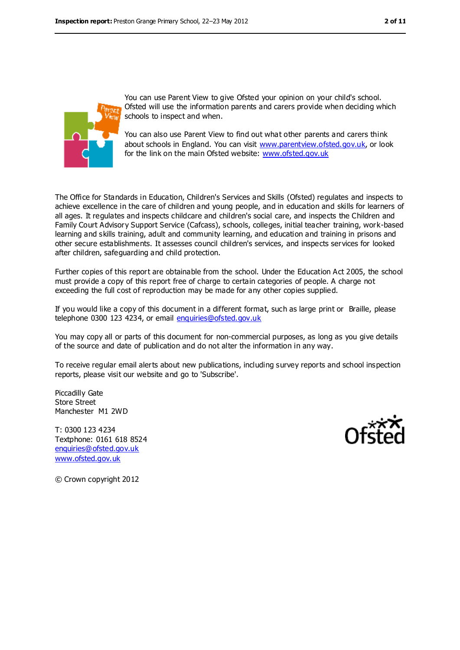

You can use Parent View to give Ofsted your opinion on your child's school. Ofsted will use the information parents and carers provide when deciding which schools to inspect and when.

You can also use Parent View to find out what other parents and carers think about schools in England. You can visit [www.parentview.ofsted.gov.uk,](../../../../jbennett/AppData/Local/Temp/notesDA0216/www.parentview.ofsted.gov.uk) or look for the link on the main Ofsted website: [www.ofsted.gov.uk](../../../../jbennett/AppData/Local/Temp/notesDA0216/www.ofsted.gov.uk)

The Office for Standards in Education, Children's Services and Skills (Ofsted) regulates and inspects to achieve excellence in the care of children and young people, and in education and skills for learners of all ages. It regulates and inspects childcare and children's social care, and inspects the Children and Family Court Advisory Support Service (Cafcass), schools, colleges, initial teacher training, work-based learning and skills training, adult and community learning, and education and training in prisons and other secure establishments. It assesses council children's services, and inspects services for looked after children, safeguarding and child protection.

Further copies of this report are obtainable from the school. Under the Education Act 2005, the school must provide a copy of this report free of charge to certain categories of people. A charge not exceeding the full cost of reproduction may be made for any other copies supplied.

If you would like a copy of this document in a different format, such as large print or Braille, please telephone 0300 123 4234, or email [enquiries@ofsted.gov.uk](mailto:enquiries@ofsted.gov.uk)

You may copy all or parts of this document for non-commercial purposes, as long as you give details of the source and date of publication and do not alter the information in any way.

To receive regular email alerts about new publications, including survey reports and school inspection reports, please visit our website and go to 'Subscribe'.

Piccadilly Gate Store Street Manchester M1 2WD

T: 0300 123 4234 Textphone: 0161 618 8524 [enquiries@ofsted.gov.uk](mailto:enquiries@ofsted.gov.uk) [www.ofsted.gov.uk](http://www.ofsted.gov.uk/)



© Crown copyright 2012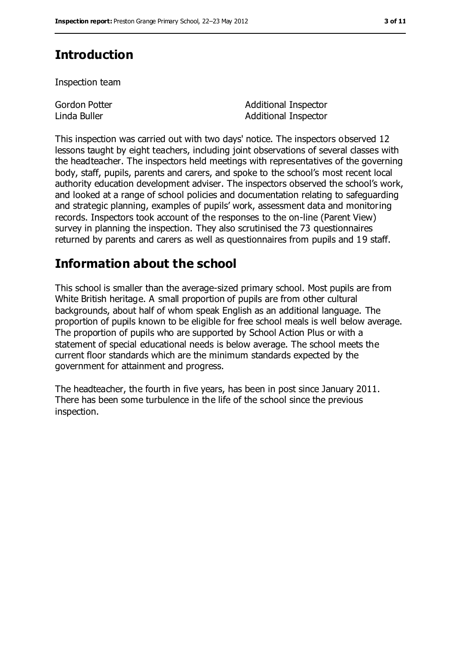# **Introduction**

Inspection team

Gordon Potter Linda Buller

Additional Inspector Additional Inspector

This inspection was carried out with two days' notice. The inspectors observed 12 lessons taught by eight teachers, including joint observations of several classes with the headteacher. The inspectors held meetings with representatives of the governing body, staff, pupils, parents and carers, and spoke to the school's most recent local authority education development adviser. The inspectors observed the school's work, and looked at a range of school policies and documentation relating to safeguarding and strategic planning, examples of pupils' work, assessment data and monitoring records. Inspectors took account of the responses to the on-line (Parent View) survey in planning the inspection. They also scrutinised the 73 questionnaires returned by parents and carers as well as questionnaires from pupils and 19 staff.

# **Information about the school**

This school is smaller than the average-sized primary school. Most pupils are from White British heritage. A small proportion of pupils are from other cultural backgrounds, about half of whom speak English as an additional language. The proportion of pupils known to be eligible for free school meals is well below average. The proportion of pupils who are supported by School Action Plus or with a statement of special educational needs is below average. The school meets the current floor standards which are the minimum standards expected by the government for attainment and progress.

The headteacher, the fourth in five years, has been in post since January 2011. There has been some turbulence in the life of the school since the previous inspection.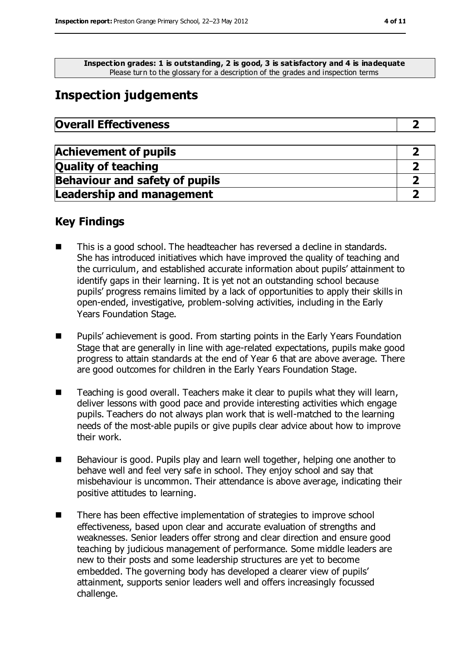**Inspection grades: 1 is outstanding, 2 is good, 3 is satisfactory and 4 is inadequate** Please turn to the glossary for a description of the grades and inspection terms

## **Inspection judgements**

| <b>Overall Effectiveness</b> |  |
|------------------------------|--|
|------------------------------|--|

| <b>Achievement of pupils</b>          |  |
|---------------------------------------|--|
| <b>Quality of teaching</b>            |  |
| <b>Behaviour and safety of pupils</b> |  |
| <b>Leadership and management</b>      |  |

### **Key Findings**

- This is a good school. The headteacher has reversed a decline in standards. She has introduced initiatives which have improved the quality of teaching and the curriculum, and established accurate information about pupils' attainment to identify gaps in their learning. It is yet not an outstanding school because pupils' progress remains limited by a lack of opportunities to apply their skills in open-ended, investigative, problem-solving activities, including in the Early Years Foundation Stage.
- **Pupils'** achievement is good. From starting points in the Early Years Foundation Stage that are generally in line with age-related expectations, pupils make good progress to attain standards at the end of Year 6 that are above average. There are good outcomes for children in the Early Years Foundation Stage.
- Teaching is good overall. Teachers make it clear to pupils what they will learn, deliver lessons with good pace and provide interesting activities which engage pupils. Teachers do not always plan work that is well-matched to the learning needs of the most-able pupils or give pupils clear advice about how to improve their work.
- Behaviour is good. Pupils play and learn well together, helping one another to behave well and feel very safe in school. They enjoy school and say that misbehaviour is uncommon. Their attendance is above average, indicating their positive attitudes to learning.
- There has been effective implementation of strategies to improve school effectiveness, based upon clear and accurate evaluation of strengths and weaknesses. Senior leaders offer strong and clear direction and ensure good teaching by judicious management of performance. Some middle leaders are new to their posts and some leadership structures are yet to become embedded. The governing body has developed a clearer view of pupils' attainment, supports senior leaders well and offers increasingly focussed challenge.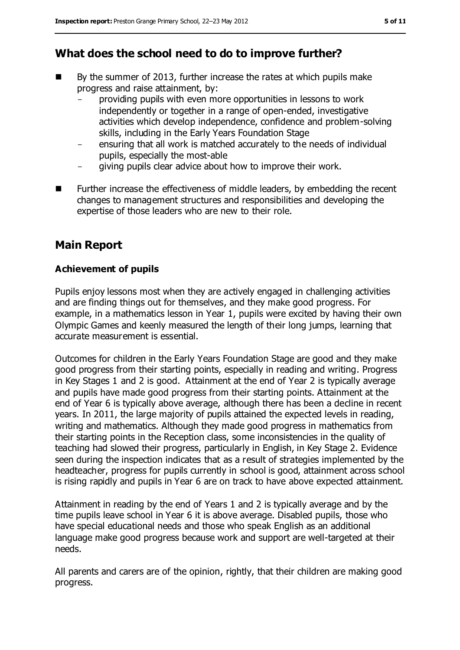### **What does the school need to do to improve further?**

- $\blacksquare$  By the summer of 2013, further increase the rates at which pupils make progress and raise attainment, by:
	- providing pupils with even more opportunities in lessons to work independently or together in a range of open-ended, investigative activities which develop independence, confidence and problem-solving skills, including in the Early Years Foundation Stage
	- ensuring that all work is matched accurately to the needs of individual pupils, especially the most-able
	- giving pupils clear advice about how to improve their work.
- **EXECT** Further increase the effectiveness of middle leaders, by embedding the recent changes to management structures and responsibilities and developing the expertise of those leaders who are new to their role.

### **Main Report**

#### **Achievement of pupils**

Pupils enjoy lessons most when they are actively engaged in challenging activities and are finding things out for themselves, and they make good progress. For example, in a mathematics lesson in Year 1, pupils were excited by having their own Olympic Games and keenly measured the length of their long jumps, learning that accurate measurement is essential.

Outcomes for children in the Early Years Foundation Stage are good and they make good progress from their starting points, especially in reading and writing. Progress in Key Stages 1 and 2 is good. Attainment at the end of Year 2 is typically average and pupils have made good progress from their starting points. Attainment at the end of Year 6 is typically above average, although there has been a decline in recent years. In 2011, the large majority of pupils attained the expected levels in reading, writing and mathematics. Although they made good progress in mathematics from their starting points in the Reception class, some inconsistencies in the quality of teaching had slowed their progress, particularly in English, in Key Stage 2. Evidence seen during the inspection indicates that as a result of strategies implemented by the headteacher, progress for pupils currently in school is good, attainment across school is rising rapidly and pupils in Year 6 are on track to have above expected attainment.

Attainment in reading by the end of Years 1 and 2 is typically average and by the time pupils leave school in Year 6 it is above average. Disabled pupils, those who have special educational needs and those who speak English as an additional language make good progress because work and support are well-targeted at their needs.

All parents and carers are of the opinion, rightly, that their children are making good progress.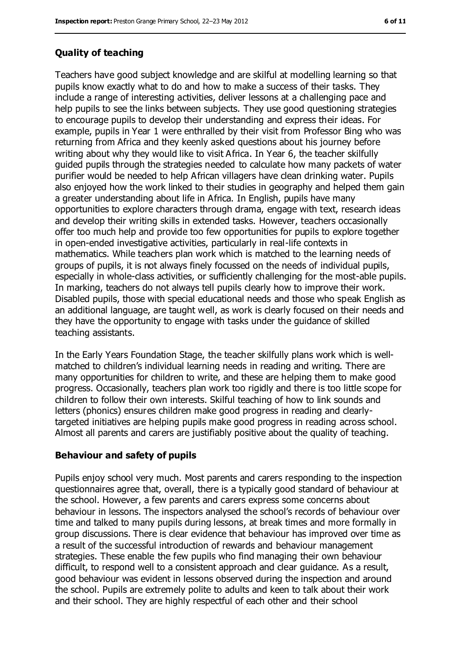#### **Quality of teaching**

Teachers have good subject knowledge and are skilful at modelling learning so that pupils know exactly what to do and how to make a success of their tasks. They include a range of interesting activities, deliver lessons at a challenging pace and help pupils to see the links between subjects. They use good questioning strategies to encourage pupils to develop their understanding and express their ideas. For example, pupils in Year 1 were enthralled by their visit from Professor Bing who was returning from Africa and they keenly asked questions about his journey before writing about why they would like to visit Africa. In Year 6, the teacher skilfully guided pupils through the strategies needed to calculate how many packets of water purifier would be needed to help African villagers have clean drinking water. Pupils also enjoyed how the work linked to their studies in geography and helped them gain a greater understanding about life in Africa. In English, pupils have many opportunities to explore characters through drama, engage with text, research ideas and develop their writing skills in extended tasks. However, teachers occasionally offer too much help and provide too few opportunities for pupils to explore together in open-ended investigative activities, particularly in real-life contexts in mathematics. While teachers plan work which is matched to the learning needs of groups of pupils, it is not always finely focussed on the needs of individual pupils, especially in whole-class activities, or sufficiently challenging for the most-able pupils. In marking, teachers do not always tell pupils clearly how to improve their work. Disabled pupils, those with special educational needs and those who speak English as an additional language, are taught well, as work is clearly focused on their needs and they have the opportunity to engage with tasks under the guidance of skilled teaching assistants.

In the Early Years Foundation Stage, the teacher skilfully plans work which is wellmatched to children's individual learning needs in reading and writing. There are many opportunities for children to write, and these are helping them to make good progress. Occasionally, teachers plan work too rigidly and there is too little scope for children to follow their own interests. Skilful teaching of how to link sounds and letters (phonics) ensures children make good progress in reading and clearlytargeted initiatives are helping pupils make good progress in reading across school. Almost all parents and carers are justifiably positive about the quality of teaching.

#### **Behaviour and safety of pupils**

Pupils enjoy school very much. Most parents and carers responding to the inspection questionnaires agree that, overall, there is a typically good standard of behaviour at the school. However, a few parents and carers express some concerns about behaviour in lessons. The inspectors analysed the school's records of behaviour over time and talked to many pupils during lessons, at break times and more formally in group discussions. There is clear evidence that behaviour has improved over time as a result of the successful introduction of rewards and behaviour management strategies. These enable the few pupils who find managing their own behaviour difficult, to respond well to a consistent approach and clear guidance. As a result, good behaviour was evident in lessons observed during the inspection and around the school. Pupils are extremely polite to adults and keen to talk about their work and their school. They are highly respectful of each other and their school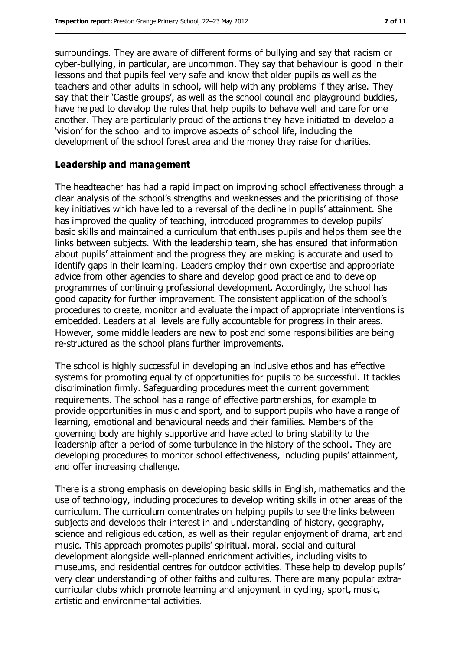surroundings. They are aware of different forms of bullying and say that racism or cyber-bullying, in particular, are uncommon. They say that behaviour is good in their lessons and that pupils feel very safe and know that older pupils as well as the teachers and other adults in school, will help with any problems if they arise. They say that their 'Castle groups', as well as the school council and playground buddies, have helped to develop the rules that help pupils to behave well and care for one another. They are particularly proud of the actions they have initiated to develop a 'vision' for the school and to improve aspects of school life, including the development of the school forest area and the money they raise for charities.

#### **Leadership and management**

The headteacher has had a rapid impact on improving school effectiveness through a clear analysis of the school's strengths and weaknesses and the prioritising of those key initiatives which have led to a reversal of the decline in pupils' attainment. She has improved the quality of teaching, introduced programmes to develop pupils' basic skills and maintained a curriculum that enthuses pupils and helps them see the links between subjects. With the leadership team, she has ensured that information about pupils' attainment and the progress they are making is accurate and used to identify gaps in their learning. Leaders employ their own expertise and appropriate advice from other agencies to share and develop good practice and to develop programmes of continuing professional development. Accordingly, the school has good capacity for further improvement. The consistent application of the school's procedures to create, monitor and evaluate the impact of appropriate interventions is embedded. Leaders at all levels are fully accountable for progress in their areas. However, some middle leaders are new to post and some responsibilities are being re-structured as the school plans further improvements.

The school is highly successful in developing an inclusive ethos and has effective systems for promoting equality of opportunities for pupils to be successful. It tackles discrimination firmly. Safeguarding procedures meet the current government requirements. The school has a range of effective partnerships, for example to provide opportunities in music and sport, and to support pupils who have a range of learning, emotional and behavioural needs and their families. Members of the governing body are highly supportive and have acted to bring stability to the leadership after a period of some turbulence in the history of the school. They are developing procedures to monitor school effectiveness, including pupils' attainment, and offer increasing challenge.

There is a strong emphasis on developing basic skills in English, mathematics and the use of technology, including procedures to develop writing skills in other areas of the curriculum. The curriculum concentrates on helping pupils to see the links between subjects and develops their interest in and understanding of history, geography, science and religious education, as well as their regular enjoyment of drama, art and music. This approach promotes pupils' spiritual, moral, social and cultural development alongside well-planned enrichment activities, including visits to museums, and residential centres for outdoor activities. These help to develop pupils' very clear understanding of other faiths and cultures. There are many popular extracurricular clubs which promote learning and enjoyment in cycling, sport, music, artistic and environmental activities.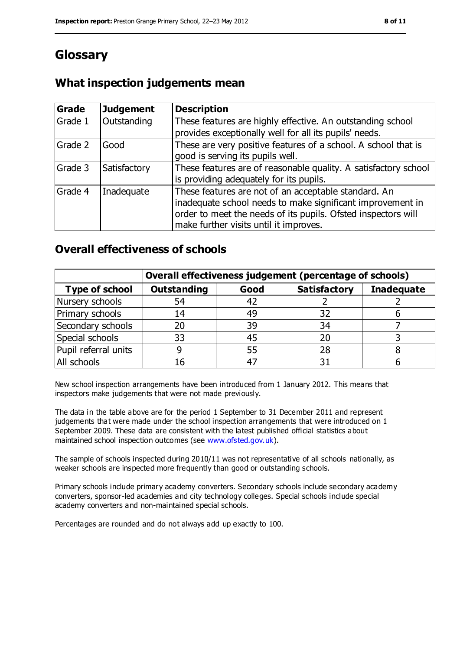# **Glossary**

### **What inspection judgements mean**

| Grade   | <b>Judgement</b> | <b>Description</b>                                                                                                                                                                                                            |
|---------|------------------|-------------------------------------------------------------------------------------------------------------------------------------------------------------------------------------------------------------------------------|
| Grade 1 | Outstanding      | These features are highly effective. An outstanding school<br>provides exceptionally well for all its pupils' needs.                                                                                                          |
| Grade 2 | Good             | These are very positive features of a school. A school that is<br>good is serving its pupils well.                                                                                                                            |
| Grade 3 | Satisfactory     | These features are of reasonable quality. A satisfactory school<br>is providing adequately for its pupils.                                                                                                                    |
| Grade 4 | Inadequate       | These features are not of an acceptable standard. An<br>inadequate school needs to make significant improvement in<br>order to meet the needs of its pupils. Ofsted inspectors will<br>make further visits until it improves. |

### **Overall effectiveness of schools**

|                       | Overall effectiveness judgement (percentage of schools) |      |                     |                   |
|-----------------------|---------------------------------------------------------|------|---------------------|-------------------|
| <b>Type of school</b> | <b>Outstanding</b>                                      | Good | <b>Satisfactory</b> | <b>Inadequate</b> |
| Nursery schools       | 54                                                      | 42   |                     |                   |
| Primary schools       | 14                                                      | 49   | 32                  |                   |
| Secondary schools     | 20                                                      | 39   | 34                  |                   |
| Special schools       | 33                                                      | 45   |                     |                   |
| Pupil referral units  | 9                                                       | 55   | 28                  |                   |
| All schools           | 16                                                      | -47  |                     |                   |

New school inspection arrangements have been introduced from 1 January 2012. This means that inspectors make judgements that were not made previously.

The data in the table above are for the period 1 September to 31 December 2011 and represent judgements that were made under the school inspection arrangements that were introduced on 1 September 2009. These data are consistent with the latest published official statistics about maintained school inspection outcomes (see [www.ofsted.gov.uk\)](../../../../jbennett/AppData/Local/Temp/notesDA0216/www.ofsted.gov.uk).

The sample of schools inspected during 2010/11 was not representative of all schools nationally, as weaker schools are inspected more frequently than good or outstanding schools.

Primary schools include primary academy converters. Secondary schools include secondary academy converters, sponsor-led academies and city technology colleges. Special schools include special academy converters and non-maintained special schools.

Percentages are rounded and do not always add up exactly to 100.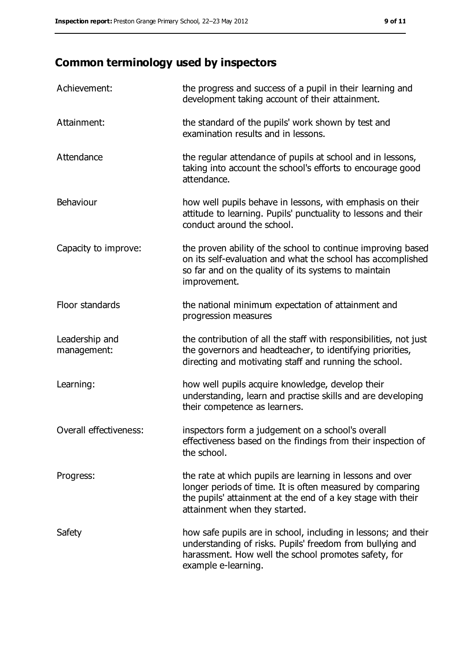# **Common terminology used by inspectors**

| Achievement:                  | the progress and success of a pupil in their learning and<br>development taking account of their attainment.                                                                                                           |
|-------------------------------|------------------------------------------------------------------------------------------------------------------------------------------------------------------------------------------------------------------------|
| Attainment:                   | the standard of the pupils' work shown by test and<br>examination results and in lessons.                                                                                                                              |
| Attendance                    | the regular attendance of pupils at school and in lessons,<br>taking into account the school's efforts to encourage good<br>attendance.                                                                                |
| Behaviour                     | how well pupils behave in lessons, with emphasis on their<br>attitude to learning. Pupils' punctuality to lessons and their<br>conduct around the school.                                                              |
| Capacity to improve:          | the proven ability of the school to continue improving based<br>on its self-evaluation and what the school has accomplished<br>so far and on the quality of its systems to maintain<br>improvement.                    |
| Floor standards               | the national minimum expectation of attainment and<br>progression measures                                                                                                                                             |
| Leadership and<br>management: | the contribution of all the staff with responsibilities, not just<br>the governors and headteacher, to identifying priorities,<br>directing and motivating staff and running the school.                               |
| Learning:                     | how well pupils acquire knowledge, develop their<br>understanding, learn and practise skills and are developing<br>their competence as learners.                                                                       |
| Overall effectiveness:        | inspectors form a judgement on a school's overall<br>effectiveness based on the findings from their inspection of<br>the school.                                                                                       |
| Progress:                     | the rate at which pupils are learning in lessons and over<br>longer periods of time. It is often measured by comparing<br>the pupils' attainment at the end of a key stage with their<br>attainment when they started. |
| Safety                        | how safe pupils are in school, including in lessons; and their<br>understanding of risks. Pupils' freedom from bullying and<br>harassment. How well the school promotes safety, for<br>example e-learning.             |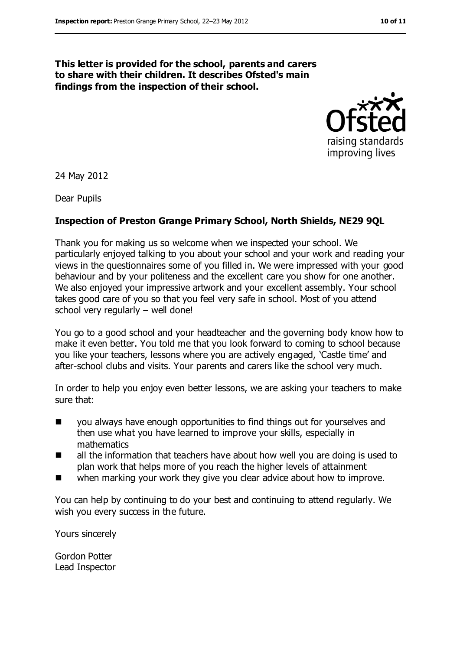#### **This letter is provided for the school, parents and carers to share with their children. It describes Ofsted's main findings from the inspection of their school.**



24 May 2012

Dear Pupils

#### **Inspection of Preston Grange Primary School, North Shields, NE29 9QL**

Thank you for making us so welcome when we inspected your school. We particularly enjoyed talking to you about your school and your work and reading your views in the questionnaires some of you filled in. We were impressed with your good behaviour and by your politeness and the excellent care you show for one another. We also enjoyed your impressive artwork and your excellent assembly. Your school takes good care of you so that you feel very safe in school. Most of you attend school very regularly – well done!

You go to a good school and your headteacher and the governing body know how to make it even better. You told me that you look forward to coming to school because you like your teachers, lessons where you are actively engaged, 'Castle time' and after-school clubs and visits. Your parents and carers like the school very much.

In order to help you enjoy even better lessons, we are asking your teachers to make sure that:

- you always have enough opportunities to find things out for yourselves and then use what you have learned to improve your skills, especially in mathematics
- all the information that teachers have about how well you are doing is used to plan work that helps more of you reach the higher levels of attainment
- when marking your work they give you clear advice about how to improve.

You can help by continuing to do your best and continuing to attend regularly. We wish you every success in the future.

Yours sincerely

Gordon Potter Lead Inspector